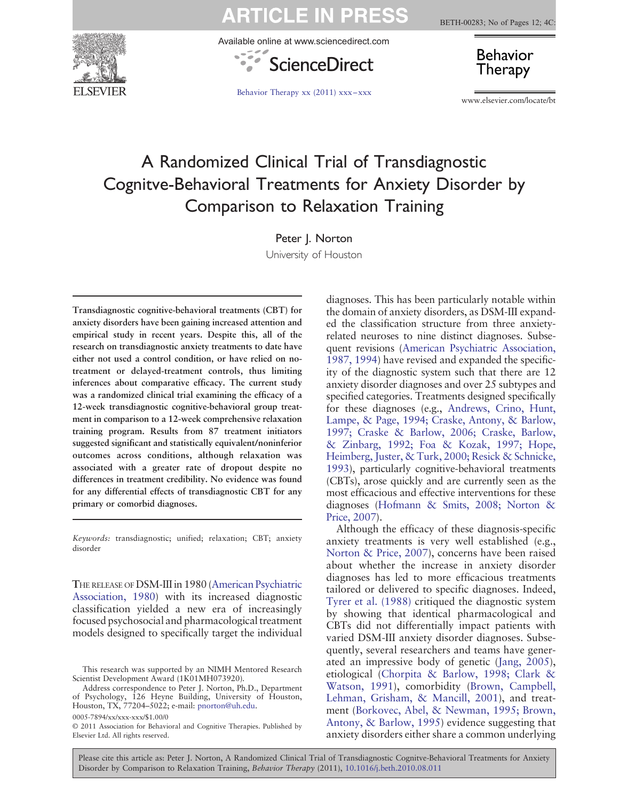

Available online at www.sciencedirect.com



BETH-00283; No of Pages 12; 4C:



[Behavior Therapy xx \(2011\) xxx](http://dx.doi.org/)–xxx

www.elsevier.com/locate/bt

## A Randomized Clinical Trial of Transdiagnostic Cognitve-Behavioral Treatments for Anxiety Disorder by Comparison to Relaxation Training

Peter J. Norton

University of Houston

Transdiagnostic cognitive-behavioral treatments (CBT) for anxiety disorders have been gaining increased attention and empirical study in recent years. Despite this, all of the research on transdiagnostic anxiety treatments to date have either not used a control condition, or have relied on notreatment or delayed-treatment controls, thus limiting inferences about comparative efficacy. The current study was a randomized clinical trial examining the efficacy of a 12-week transdiagnostic cognitive-behavioral group treatment in comparison to a 12-week comprehensive relaxation training program. Results from 87 treatment initiators suggested significant and statistically equivalent/noninferior outcomes across conditions, although relaxation was associated with a greater rate of dropout despite no differences in treatment credibility. No evidence was found for any differential effects of transdiagnostic CBT for any primary or comorbid diagnoses.

Keywords: transdiagnostic; unified; relaxation; CBT; anxiety disorder

THE RELEASE OF DSM-III in 1980 [\(American Psychiatric](#page-9-0) [Association, 1980\)](#page-9-0) with its increased diagnostic classification yielded a new era of increasingly focused psychosocial and pharmacological treatment models designed to specifically target the individual diagnoses. This has been particularly notable within the domain of anxiety disorders, as DSM-III expanded the classification structure from three anxietyrelated neuroses to nine distinct diagnoses. Subsequent revisions [\(American Psychiatric Association,](#page-9-0) [1987, 1994](#page-9-0)) have revised and expanded the specificity of the diagnostic system such that there are 12 anxiety disorder diagnoses and over 25 subtypes and specified categories. Treatments designed specifically for these diagnoses (e.g., [Andrews, Crino, Hunt,](#page-10-0) [Lampe, & Page, 1994; Craske, Antony, & Barlow,](#page-10-0) [1997; Craske & Barlow, 2006; Craske, Barlow,](#page-10-0) [& Zinbarg, 1992; Foa & Kozak, 1997; Hope,](#page-10-0) [Heimberg, Juster, & Turk, 2000; Resick & Schnicke,](#page-10-0) [1993](#page-10-0)), particularly cognitive-behavioral treatments (CBTs), arose quickly and are currently seen as the most efficacious and effective interventions for these diagnoses [\(Hofmann & Smits, 2008; Norton &](#page-10-0) [Price, 2007](#page-10-0)).

Although the efficacy of these diagnosis-specific anxiety treatments is very well established (e.g., [Norton & Price, 2007](#page-11-0)), concerns have been raised about whether the increase in anxiety disorder diagnoses has led to more efficacious treatments tailored or delivered to specific diagnoses. Indeed, [Tyrer et al. \(1988\)](#page-11-0) critiqued the diagnostic system by showing that identical pharmacological and CBTs did not differentially impact patients with varied DSM-III anxiety disorder diagnoses. Subsequently, several researchers and teams have generated an impressive body of genetic ([Jang, 2005\)](#page-10-0), etiological [\(Chorpita & Barlow, 1998; Clark &](#page-10-0) [Watson, 1991](#page-10-0)), comorbidity [\(Brown, Campbell,](#page-10-0) [Lehman, Grisham, & Mancill, 2001](#page-10-0)), and treatment ([Borkovec, Abel, & Newman, 1995; Brown,](#page-10-0) [Antony, & Barlow, 1995\)](#page-10-0) evidence suggesting that anxiety disorders either share a common underlying

This research was supported by an NIMH Mentored Research Scientist Development Award (1K01MH073920).

Address correspondence to Peter J. Norton, Ph.D., Department of Psychology, 126 Heyne Building, University of Houston, Houston, TX, 77204–5022; e-mail: pnorton@uh.edu.

<sup>0005-7894/</sup>xx/xxx-xxx/\$1.00/0

<sup>© 2011</sup> Association for Behavioral and Cognitive Therapies. Published by Elsevier Ltd. All rights reserved.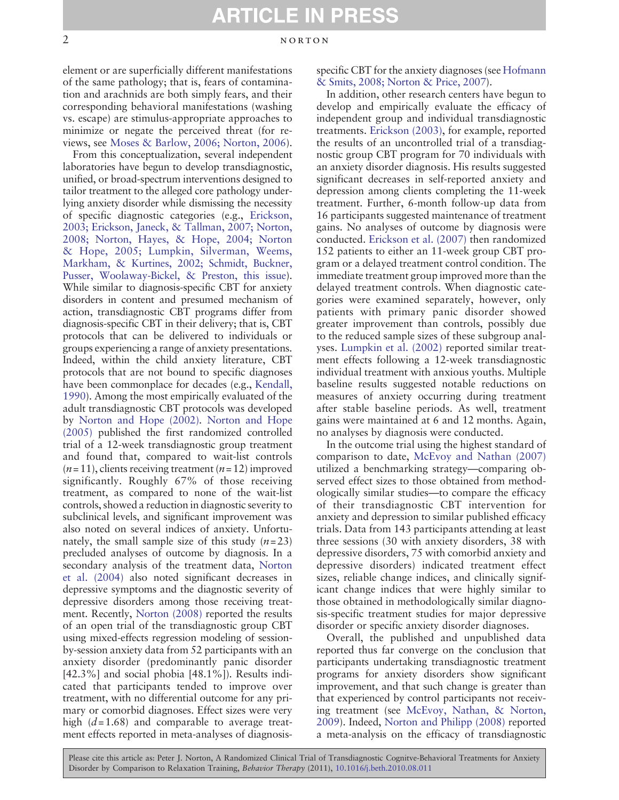## 2 NORTON

element or are superficially different manifestations of the same pathology; that is, fears of contamination and arachnids are both simply fears, and their corresponding behavioral manifestations (washing vs. escape) are stimulus-appropriate approaches to minimize or negate the perceived threat (for reviews, see [Moses & Barlow, 2006; Norton, 2006](#page-11-0)).

From this conceptualization, several independent laboratories have begun to develop transdiagnostic, unified, or broad-spectrum interventions designed to tailor treatment to the alleged core pathology underlying anxiety disorder while dismissing the necessity of specific diagnostic categories (e.g., [Erickson,](#page-10-0) [2003; Erickson, Janeck, & Tallman, 2007; Norton,](#page-10-0) [2008; Norton, Hayes, & Hope, 2004; Norton](#page-10-0) [& Hope, 2005; Lumpkin, Silverman, Weems,](#page-10-0) [Markham, & Kurtines, 2002; Schmidt, Buckner,](#page-10-0) [Pusser, Woolaway-Bickel, & Preston, this issue](#page-10-0)). While similar to diagnosis-specific CBT for anxiety disorders in content and presumed mechanism of action, transdiagnostic CBT programs differ from diagnosis-specific CBT in their delivery; that is, CBT protocols that can be delivered to individuals or groups experiencing a range of anxiety presentations. Indeed, within the child anxiety literature, CBT protocols that are not bound to specific diagnoses have been commonplace for decades (e.g., [Kendall,](#page-11-0) [1990\)](#page-11-0). Among the most empirically evaluated of the adult transdiagnostic CBT protocols was developed by [Norton and Hope \(2002\).](#page-11-0) [Norton and Hope](#page-11-0) [\(2005\)](#page-11-0) published the first randomized controlled trial of a 12-week transdiagnostic group treatment and found that, compared to wait-list controls  $(n=11)$ , clients receiving treatment  $(n=12)$  improved significantly. Roughly 67% of those receiving treatment, as compared to none of the wait-list controls, showed a reduction in diagnostic severity to subclinical levels, and significant improvement was also noted on several indices of anxiety. Unfortunately, the small sample size of this study  $(n=23)$ precluded analyses of outcome by diagnosis. In a secondary analysis of the treatment data, [Norton](#page-11-0) [et al. \(2004\)](#page-11-0) also noted significant decreases in depressive symptoms and the diagnostic severity of depressive disorders among those receiving treatment. Recently, [Norton \(2008\)](#page-11-0) reported the results of an open trial of the transdiagnostic group CBT using mixed-effects regression modeling of sessionby-session anxiety data from 52 participants with an anxiety disorder (predominantly panic disorder [42.3%] and social phobia [48.1%]). Results indicated that participants tended to improve over treatment, with no differential outcome for any primary or comorbid diagnoses. Effect sizes were very high  $(d=1.68)$  and comparable to average treatment effects reported in meta-analyses of diagnosisspecific CBT for the anxiety diagnoses (see [Hofmann](#page-10-0) [& Smits, 2008; Norton & Price, 2007\)](#page-10-0).

In addition, other research centers have begun to develop and empirically evaluate the efficacy of independent group and individual transdiagnostic treatments. [Erickson \(2003\),](#page-10-0) for example, reported the results of an uncontrolled trial of a transdiagnostic group CBT program for 70 individuals with an anxiety disorder diagnosis. His results suggested significant decreases in self-reported anxiety and depression among clients completing the 11-week treatment. Further, 6-month follow-up data from 16 participants suggested maintenance of treatment gains. No analyses of outcome by diagnosis were conducted. [Erickson et al. \(2007\)](#page-10-0) then randomized 152 patients to either an 11-week group CBT program or a delayed treatment control condition. The immediate treatment group improved more than the delayed treatment controls. When diagnostic categories were examined separately, however, only patients with primary panic disorder showed greater improvement than controls, possibly due to the reduced sample sizes of these subgroup analyses. [Lumpkin et al. \(2002\)](#page-11-0) reported similar treatment effects following a 12-week transdiagnostic individual treatment with anxious youths. Multiple baseline results suggested notable reductions on measures of anxiety occurring during treatment after stable baseline periods. As well, treatment gains were maintained at 6 and 12 months. Again, no analyses by diagnosis were conducted.

In the outcome trial using the highest standard of comparison to date, [McEvoy and Nathan \(2007\)](#page-11-0) utilized a benchmarking strategy—comparing observed effect sizes to those obtained from methodologically similar studies—to compare the efficacy of their transdiagnostic CBT intervention for anxiety and depression to similar published efficacy trials. Data from 143 participants attending at least three sessions (30 with anxiety disorders, 38 with depressive disorders, 75 with comorbid anxiety and depressive disorders) indicated treatment effect sizes, reliable change indices, and clinically significant change indices that were highly similar to those obtained in methodologically similar diagnosis-specific treatment studies for major depressive disorder or specific anxiety disorder diagnoses.

Overall, the published and unpublished data reported thus far converge on the conclusion that participants undertaking transdiagnostic treatment programs for anxiety disorders show significant improvement, and that such change is greater than that experienced by control participants not receiving treatment (see [McEvoy, Nathan, & Norton,](#page-11-0) [2009\)](#page-11-0). Indeed, [Norton and Philipp \(2008\)](#page-11-0) reported a meta-analysis on the efficacy of transdiagnostic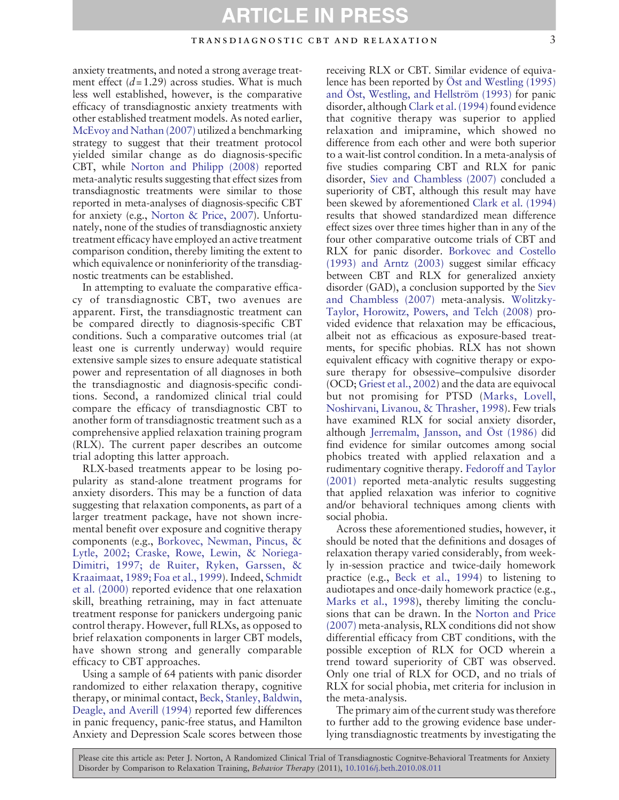## transdiagnostic cbt and relaxation 3

anxiety treatments, and noted a strong average treatment effect  $(d=1.29)$  across studies. What is much less well established, however, is the comparative efficacy of transdiagnostic anxiety treatments with other established treatment models. As noted earlier, [McEvoy and Nathan \(2007\)](#page-11-0) utilized a benchmarking strategy to suggest that their treatment protocol yielded similar change as do diagnosis-specific CBT, while [Norton and Philipp \(2008\)](#page-11-0) reported meta-analytic results suggesting that effect sizes from transdiagnostic treatments were similar to those reported in meta-analyses of diagnosis-specific CBT for anxiety (e.g., [Norton & Price, 2007\)](#page-11-0). Unfortunately, none of the studies of transdiagnostic anxiety treatment efficacy have employed an active treatment comparison condition, thereby limiting the extent to which equivalence or noninferiority of the transdiagnostic treatments can be established.

In attempting to evaluate the comparative efficacy of transdiagnostic CBT, two avenues are apparent. First, the transdiagnostic treatment can be compared directly to diagnosis-specific CBT conditions. Such a comparative outcomes trial (at least one is currently underway) would require extensive sample sizes to ensure adequate statistical power and representation of all diagnoses in both the transdiagnostic and diagnosis-specific conditions. Second, a randomized clinical trial could compare the efficacy of transdiagnostic CBT to another form of transdiagnostic treatment such as a comprehensive applied relaxation training program (RLX). The current paper describes an outcome trial adopting this latter approach.

RLX-based treatments appear to be losing popularity as stand-alone treatment programs for anxiety disorders. This may be a function of data suggesting that relaxation components, as part of a larger treatment package, have not shown incremental benefit over exposure and cognitive therapy components (e.g., [Borkovec, Newman, Pincus, &](#page-10-0) [Lytle, 2002; Craske, Rowe, Lewin, & Noriega-](#page-10-0)[Dimitri, 1997; de Ruiter, Ryken, Garssen, &](#page-10-0) [Kraaimaat, 1989; Foa et al., 1999\)](#page-10-0). Indeed, [Schmidt](#page-11-0) [et al. \(2000\)](#page-11-0) reported evidence that one relaxation skill, breathing retraining, may in fact attenuate treatment response for panickers undergoing panic control therapy. However, full RLXs, as opposed to brief relaxation components in larger CBT models, have shown strong and generally comparable efficacy to CBT approaches.

Using a sample of 64 patients with panic disorder randomized to either relaxation therapy, cognitive therapy, or minimal contact, [Beck, Stanley, Baldwin,](#page-10-0) [Deagle, and Averill \(1994\)](#page-10-0) reported few differences in panic frequency, panic-free status, and Hamilton Anxiety and Depression Scale scores between those

receiving RLX or CBT. Similar evidence of equivalence has been reported by [Öst and Westling \(1995\)](#page-11-0) [and Öst, Westling, and Hellström \(1993\)](#page-11-0) for panic disorder, although [Clark et al. \(1994\)](#page-10-0) found evidence that cognitive therapy was superior to applied relaxation and imipramine, which showed no difference from each other and were both superior to a wait-list control condition. In a meta-analysis of five studies comparing CBT and RLX for panic disorder, [Siev and Chambless \(2007\)](#page-10-0) concluded a superiority of CBT, although this result may have been skewed by aforementioned [Clark et al. \(1994\)](#page-11-0) results that showed standardized mean difference effect sizes over three times higher than in any of the four other comparative outcome trials of CBT and RLX for panic disorder. [Borkovec and Costello](#page-10-0) [\(1993\) and Arntz \(2003\)](#page-10-0) suggest similar efficacy between CBT and RLX for generalized anxiety disorder (GAD), a conclusion supported by the [Siev](#page-11-0) [and Chambless \(2007\)](#page-11-0) meta-analysis. [Wolitzky-](#page-11-0)[Taylor, Horowitz, Powers, and Telch \(2008\)](#page-11-0) provided evidence that relaxation may be efficacious, albeit not as efficacious as exposure-based treatments, for specific phobias. RLX has not shown equivalent efficacy with cognitive therapy or exposure therapy for obsessive–compulsive disorder (OCD; [Griest et al., 2002](#page-10-0)) and the data are equivocal but not promising for PTSD ([Marks, Lovell,](#page-11-0) [Noshirvani, Livanou, & Thrasher, 1998\)](#page-11-0). Few trials have examined RLX for social anxiety disorder, although [Jerremalm, Jansson, and Öst \(1986\)](#page-10-0) did find evidence for similar outcomes among social phobics treated with applied relaxation and a rudimentary cognitive therapy. [Fedoroff and Taylor](#page-10-0) [\(2001\)](#page-10-0) reported meta-analytic results suggesting that applied relaxation was inferior to cognitive and/or behavioral techniques among clients with social phobia.

Across these aforementioned studies, however, it should be noted that the definitions and dosages of relaxation therapy varied considerably, from weekly in-session practice and twice-daily homework practice (e.g., [Beck et al., 1994\)](#page-10-0) to listening to audiotapes and once-daily homework practice (e.g., [Marks et al., 1998](#page-11-0)), thereby limiting the conclusions that can be drawn. In the [Norton and Price](#page-11-0) [\(2007\)](#page-11-0) meta-analysis, RLX conditions did not show differential efficacy from CBT conditions, with the possible exception of RLX for OCD wherein a trend toward superiority of CBT was observed. Only one trial of RLX for OCD, and no trials of RLX for social phobia, met criteria for inclusion in the meta-analysis.

The primary aim of the current study was therefore to further add to the growing evidence base underlying transdiagnostic treatments by investigating the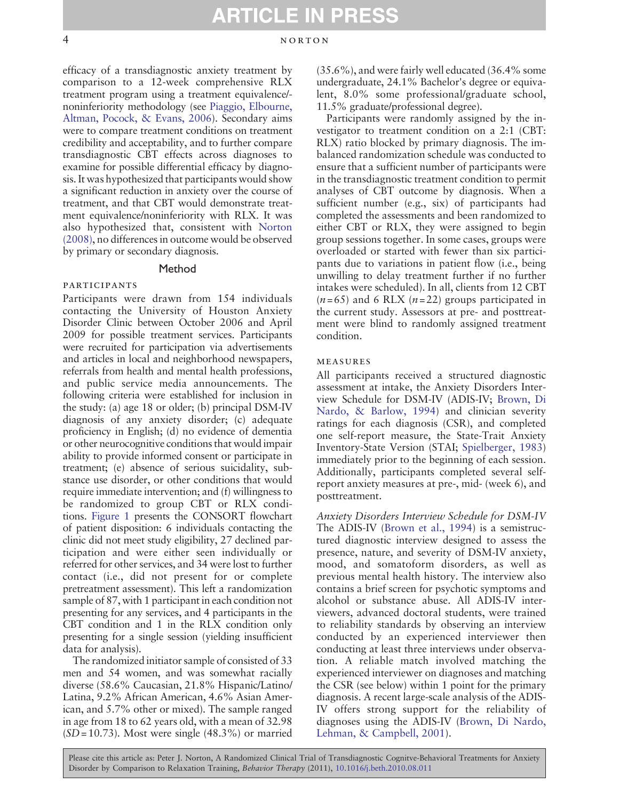## 4 NORTON

efficacy of a transdiagnostic anxiety treatment by comparison to a 12-week comprehensive RLX treatment program using a treatment equivalence/ noninferiority methodology (see [Piaggio, Elbourne,](#page-11-0) [Altman, Pocock, & Evans, 2006](#page-11-0)). Secondary aims were to compare treatment conditions on treatment credibility and acceptability, and to further compare transdiagnostic CBT effects across diagnoses to examine for possible differential efficacy by diagnosis. It was hypothesized that participants would show a significant reduction in anxiety over the course of treatment, and that CBT would demonstrate treatment equivalence/noninferiority with RLX. It was also hypothesized that, consistent with [Norton](#page-11-0) [\(2008\)](#page-11-0), no differences in outcome would be observed by primary or secondary diagnosis.

#### Method

#### participants

Participants were drawn from 154 individuals contacting the University of Houston Anxiety Disorder Clinic between October 2006 and April 2009 for possible treatment services. Participants were recruited for participation via advertisements and articles in local and neighborhood newspapers, referrals from health and mental health professions, and public service media announcements. The following criteria were established for inclusion in the study: (a) age 18 or older; (b) principal DSM-IV diagnosis of any anxiety disorder; (c) adequate proficiency in English; (d) no evidence of dementia or other neurocognitive conditions that would impair ability to provide informed consent or participate in treatment; (e) absence of serious suicidality, substance use disorder, or other conditions that would require immediate intervention; and (f) willingness to be randomized to group CBT or RLX conditions. [Figure 1](#page-4-0) presents the CONSORT flowchart of patient disposition: 6 individuals contacting the clinic did not meet study eligibility, 27 declined participation and were either seen individually or referred for other services, and 34 were lost to further contact (i.e., did not present for or complete pretreatment assessment). This left a randomization sample of 87, with 1 participant in each condition not presenting for any services, and 4 participants in the CBT condition and 1 in the RLX condition only presenting for a single session (yielding insufficient data for analysis).

The randomized initiator sample of consisted of 33 men and 54 women, and was somewhat racially diverse (58.6% Caucasian, 21.8% Hispanic/Latino/ Latina, 9.2% African American, 4.6% Asian American, and 5.7% other or mixed). The sample ranged in age from 18 to 62 years old, with a mean of 32.98  $(SD = 10.73)$ . Most were single (48.3%) or married (35.6%), and were fairly well educated (36.4% some undergraduate, 24.1% Bachelor's degree or equivalent, 8.0% some professional/graduate school, 11.5% graduate/professional degree).

Participants were randomly assigned by the investigator to treatment condition on a 2:1 (CBT: RLX) ratio blocked by primary diagnosis. The imbalanced randomization schedule was conducted to ensure that a sufficient number of participants were in the transdiagnostic treatment condition to permit analyses of CBT outcome by diagnosis. When a sufficient number (e.g., six) of participants had completed the assessments and been randomized to either CBT or RLX, they were assigned to begin group sessions together. In some cases, groups were overloaded or started with fewer than six participants due to variations in patient flow (i.e., being unwilling to delay treatment further if no further intakes were scheduled). In all, clients from 12 CBT  $(n= 65)$  and 6 RLX  $(n= 22)$  groups participated in the current study. Assessors at pre- and posttreatment were blind to randomly assigned treatment condition.

### **MEASURES**

All participants received a structured diagnostic assessment at intake, the Anxiety Disorders Interview Schedule for DSM-IV (ADIS-IV; [Brown, Di](#page-10-0) [Nardo, & Barlow, 1994](#page-10-0)) and clinician severity ratings for each diagnosis (CSR), and completed one self-report measure, the State-Trait Anxiety Inventory-State Version (STAI; [Spielberger, 1983\)](#page-11-0) immediately prior to the beginning of each session. Additionally, participants completed several selfreport anxiety measures at pre-, mid- (week 6), and posttreatment.

Anxiety Disorders Interview Schedule for DSM-IV The ADIS-IV [\(Brown et al., 1994](#page-10-0)) is a semistructured diagnostic interview designed to assess the presence, nature, and severity of DSM-IV anxiety, mood, and somatoform disorders, as well as previous mental health history. The interview also contains a brief screen for psychotic symptoms and alcohol or substance abuse. All ADIS-IV interviewers, advanced doctoral students, were trained to reliability standards by observing an interview conducted by an experienced interviewer then conducting at least three interviews under observation. A reliable match involved matching the experienced interviewer on diagnoses and matching the CSR (see below) within 1 point for the primary diagnosis. A recent large-scale analysis of the ADIS-IV offers strong support for the reliability of diagnoses using the ADIS-IV ([Brown, Di Nardo,](#page-10-0) [Lehman, & Campbell, 2001](#page-10-0)).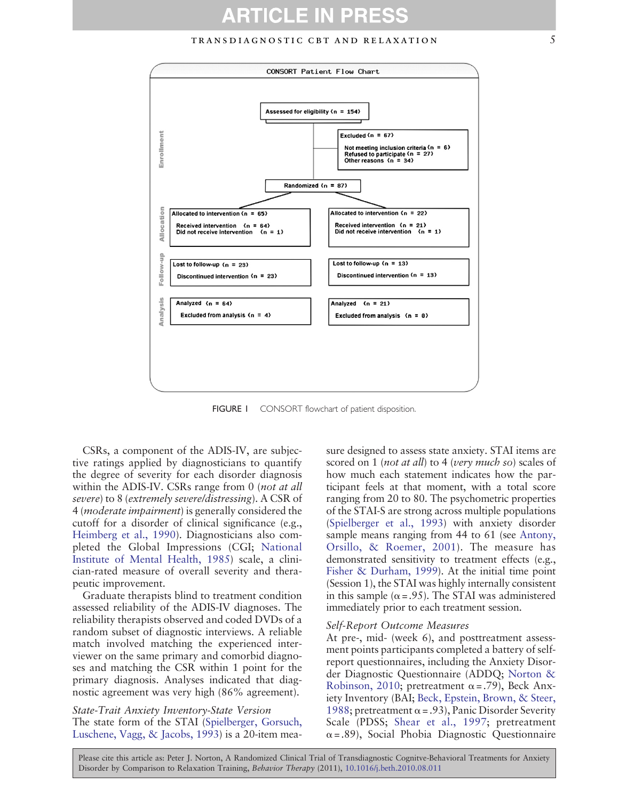## transdiagnostic cbt and relaxation 5

<span id="page-4-0"></span>

FIGURE I CONSORT flowchart of patient disposition.

CSRs, a component of the ADIS-IV, are subjective ratings applied by diagnosticians to quantify the degree of severity for each disorder diagnosis within the ADIS-IV. CSRs range from 0 (not at all severe) to 8 (extremely severe/distressing). A CSR of 4 (moderate impairment) is generally considered the cutoff for a disorder of clinical significance (e.g., [Heimberg et al., 1990\)](#page-10-0). Diagnosticians also completed the Global Impressions (CGI; [National](#page-11-0) [Institute of Mental Health, 1985\)](#page-11-0) scale, a clinician-rated measure of overall severity and therapeutic improvement.

Graduate therapists blind to treatment condition assessed reliability of the ADIS-IV diagnoses. The reliability therapists observed and coded DVDs of a random subset of diagnostic interviews. A reliable match involved matching the experienced interviewer on the same primary and comorbid diagnoses and matching the CSR within 1 point for the primary diagnosis. Analyses indicated that diagnostic agreement was very high (86% agreement).

State-Trait Anxiety Inventory-State Version The state form of the STAI [\(Spielberger, Gorsuch,](#page-11-0) [Luschene, Vagg, & Jacobs, 1993\)](#page-11-0) is a 20-item measure designed to assess state anxiety. STAI items are scored on 1 (not at all) to 4 (very much so) scales of how much each statement indicates how the participant feels at that moment, with a total score ranging from 20 to 80. The psychometric properties of the STAI-S are strong across multiple populations [\(Spielberger et al., 1993\)](#page-11-0) with anxiety disorder sample means ranging from 44 to 61 (see [Antony,](#page-10-0) [Orsillo, & Roemer, 2001\)](#page-10-0). The measure has demonstrated sensitivity to treatment effects (e.g., [Fisher & Durham, 1999](#page-10-0)). At the initial time point (Session 1), the STAI was highly internally consistent in this sample ( $\alpha$ =.95). The STAI was administered immediately prior to each treatment session.

#### Self-Report Outcome Measures

At pre-, mid- (week 6), and posttreatment assessment points participants completed a battery of selfreport questionnaires, including the Anxiety Disorder Diagnostic Questionnaire (ADDQ; [Norton &](#page-11-0) [Robinson, 2010;](#page-11-0) pretreatment  $\alpha$  = .79), Beck Anxiety Inventory (BAI; [Beck, Epstein, Brown, & Steer,](#page-10-0) [1988;](#page-10-0) pretreatment  $\alpha$  = .93), Panic Disorder Severity Scale (PDSS; [Shear et al., 1997;](#page-11-0) pretreatment  $\alpha = .89$ ), Social Phobia Diagnostic Questionnaire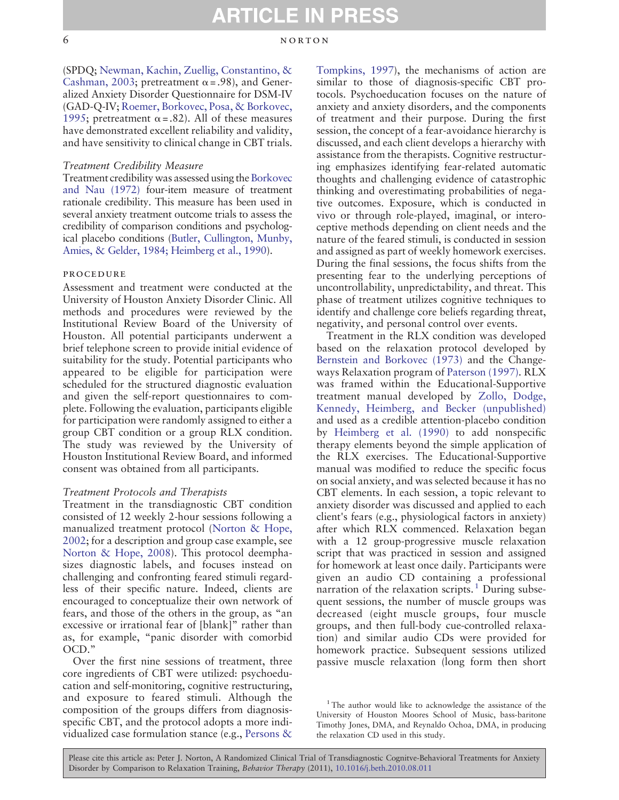### 6 NORTON

(SPDQ; [Newman, Kachin, Zuellig, Constantino, &](#page-11-0) [Cashman, 2003](#page-11-0); pretreatment  $\alpha$  = .98), and Generalized Anxiety Disorder Questionnaire for DSM-IV (GAD-Q-IV; [Roemer, Borkovec, Posa, & Borkovec,](#page-11-0) [1995](#page-11-0); pretreatment  $\alpha = .82$ ). All of these measures have demonstrated excellent reliability and validity, and have sensitivity to clinical change in CBT trials.

## Treatment Credibility Measure

Treatment credibility was assessed using the [Borkovec](#page-10-0) [and Nau \(1972\)](#page-10-0) four-item measure of treatment rationale credibility. This measure has been used in several anxiety treatment outcome trials to assess the credibility of comparison conditions and psychological placebo conditions [\(Butler, Cullington, Munby,](#page-10-0) [Amies, & Gelder, 1984; Heimberg et al., 1990\)](#page-10-0).

#### procedure

Assessment and treatment were conducted at the University of Houston Anxiety Disorder Clinic. All methods and procedures were reviewed by the Institutional Review Board of the University of Houston. All potential participants underwent a brief telephone screen to provide initial evidence of suitability for the study. Potential participants who appeared to be eligible for participation were scheduled for the structured diagnostic evaluation and given the self-report questionnaires to complete. Following the evaluation, participants eligible for participation were randomly assigned to either a group CBT condition or a group RLX condition. The study was reviewed by the University of Houston Institutional Review Board, and informed consent was obtained from all participants.

#### Treatment Protocols and Therapists

Treatment in the transdiagnostic CBT condition consisted of 12 weekly 2-hour sessions following a manualized treatment protocol [\(Norton & Hope,](#page-11-0) [2002](#page-11-0); for a description and group case example, see [Norton & Hope, 2008\)](#page-11-0). This protocol deemphasizes diagnostic labels, and focuses instead on challenging and confronting feared stimuli regardless of their specific nature. Indeed, clients are encouraged to conceptualize their own network of fears, and those of the others in the group, as "an excessive or irrational fear of [blank]" rather than as, for example, "panic disorder with comorbid OCD."

Over the first nine sessions of treatment, three core ingredients of CBT were utilized: psychoeducation and self-monitoring, cognitive restructuring, and exposure to feared stimuli. Although the composition of the groups differs from diagnosisspecific CBT, and the protocol adopts a more individualized case formulation stance (e.g., [Persons &](#page-11-0) [Tompkins, 1997\)](#page-11-0), the mechanisms of action are similar to those of diagnosis-specific CBT protocols. Psychoeducation focuses on the nature of anxiety and anxiety disorders, and the components of treatment and their purpose. During the first session, the concept of a fear-avoidance hierarchy is discussed, and each client develops a hierarchy with assistance from the therapists. Cognitive restructuring emphasizes identifying fear-related automatic thoughts and challenging evidence of catastrophic thinking and overestimating probabilities of negative outcomes. Exposure, which is conducted in vivo or through role-played, imaginal, or interoceptive methods depending on client needs and the nature of the feared stimuli, is conducted in session and assigned as part of weekly homework exercises. During the final sessions, the focus shifts from the presenting fear to the underlying perceptions of uncontrollability, unpredictability, and threat. This phase of treatment utilizes cognitive techniques to identify and challenge core beliefs regarding threat, negativity, and personal control over events.

Treatment in the RLX condition was developed based on the relaxation protocol developed by [Bernstein and Borkovec \(1973\)](#page-10-0) and the Changeways Relaxation program of [Paterson \(1997\)](#page-11-0). RLX was framed within the Educational-Supportive treatment manual developed by [Zollo, Dodge,](#page-11-0) [Kennedy, Heimberg, and Becker \(unpublished\)](#page-11-0) and used as a credible attention-placebo condition by [Heimberg et al. \(1990\)](#page-10-0) to add nonspecific therapy elements beyond the simple application of the RLX exercises. The Educational-Supportive manual was modified to reduce the specific focus on social anxiety, and was selected because it has no CBT elements. In each session, a topic relevant to anxiety disorder was discussed and applied to each client's fears (e.g., physiological factors in anxiety) after which RLX commenced. Relaxation began with a 12 group-progressive muscle relaxation script that was practiced in session and assigned for homework at least once daily. Participants were given an audio CD containing a professional narration of the relaxation scripts. $<sup>1</sup>$  During subse-</sup> quent sessions, the number of muscle groups was decreased (eight muscle groups, four muscle groups, and then full-body cue-controlled relaxation) and similar audio CDs were provided for homework practice. Subsequent sessions utilized passive muscle relaxation (long form then short

<sup>&</sup>lt;sup>1</sup> The author would like to acknowledge the assistance of the University of Houston Moores School of Music, bass-baritone Timothy Jones, DMA, and Reynaldo Ochoa, DMA, in producing the relaxation CD used in this study.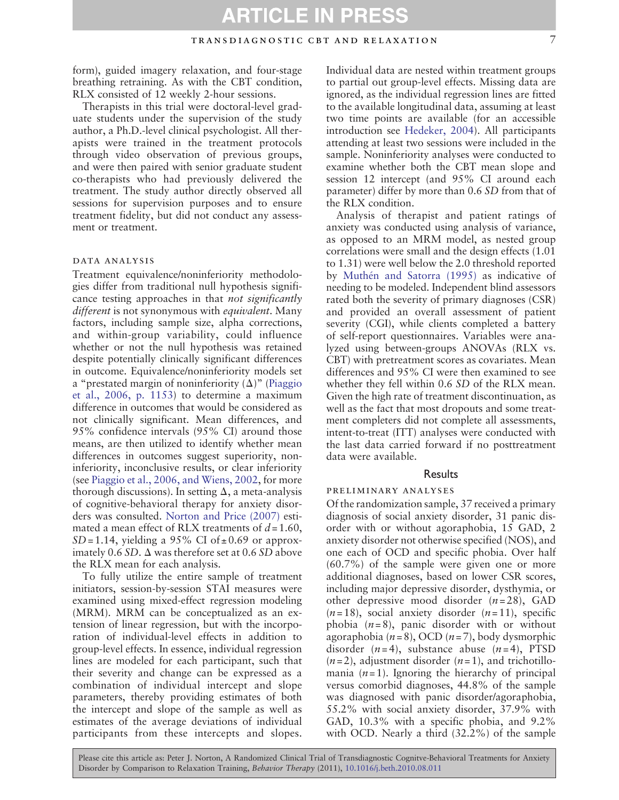## transdiagnostic cbt and relaxation 7

Therapists in this trial were doctoral-level graduate students under the supervision of the study author, a Ph.D.-level clinical psychologist. All therapists were trained in the treatment protocols through video observation of previous groups, and were then paired with senior graduate student co-therapists who had previously delivered the treatment. The study author directly observed all sessions for supervision purposes and to ensure treatment fidelity, but did not conduct any assessment or treatment.

#### data analysis

Treatment equivalence/noninferiority methodologies differ from traditional null hypothesis significance testing approaches in that not significantly different is not synonymous with equivalent. Many factors, including sample size, alpha corrections, and within-group variability, could influence whether or not the null hypothesis was retained despite potentially clinically significant differences in outcome. Equivalence/noninferiority models set a "prestated margin of noninferiority  $(\Delta)$ " [\(Piaggio](#page-11-0) [et al., 2006, p. 1153](#page-11-0)) to determine a maximum difference in outcomes that would be considered as not clinically significant. Mean differences, and 95% confidence intervals (95% CI) around those means, are then utilized to identify whether mean differences in outcomes suggest superiority, noninferiority, inconclusive results, or clear inferiority (see [Piaggio et al., 2006, and Wiens, 2002](#page-11-0), for more thorough discussions). In setting  $\Delta$ , a meta-analysis of cognitive-behavioral therapy for anxiety disorders was consulted. [Norton and Price \(2007\)](#page-11-0) estimated a mean effect of RLX treatments of  $d = 1.60$ ,  $SD = 1.14$ , yielding a 95% CI of  $\pm 0.69$  or approximately 0.6 SD.  $\Delta$  was therefore set at 0.6 SD above the RLX mean for each analysis.

To fully utilize the entire sample of treatment initiators, session-by-session STAI measures were examined using mixed-effect regression modeling (MRM). MRM can be conceptualized as an extension of linear regression, but with the incorporation of individual-level effects in addition to group-level effects. In essence, individual regression lines are modeled for each participant, such that their severity and change can be expressed as a combination of individual intercept and slope parameters, thereby providing estimates of both the intercept and slope of the sample as well as estimates of the average deviations of individual participants from these intercepts and slopes.

Individual data are nested within treatment groups to partial out group-level effects. Missing data are ignored, as the individual regression lines are fitted to the available longitudinal data, assuming at least two time points are available (for an accessible introduction see [Hedeker, 2004\)](#page-10-0). All participants attending at least two sessions were included in the sample. Noninferiority analyses were conducted to examine whether both the CBT mean slope and session 12 intercept (and 95% CI around each parameter) differ by more than 0.6 SD from that of the RLX condition.

Analysis of therapist and patient ratings of anxiety was conducted using analysis of variance, as opposed to an MRM model, as nested group correlations were small and the design effects (1.01 to 1.31) were well below the 2.0 threshold reported by [Muthén and Satorra \(1995\)](#page-11-0) as indicative of needing to be modeled. Independent blind assessors rated both the severity of primary diagnoses (CSR) and provided an overall assessment of patient severity (CGI), while clients completed a battery of self-report questionnaires. Variables were analyzed using between-groups ANOVAs (RLX vs. CBT) with pretreatment scores as covariates. Mean differences and 95% CI were then examined to see whether they fell within 0.6 SD of the RLX mean. Given the high rate of treatment discontinuation, as well as the fact that most dropouts and some treatment completers did not complete all assessments, intent-to-treat (ITT) analyses were conducted with the last data carried forward if no posttreatment data were available.

#### Results

#### preliminary analyses

Of the randomization sample, 37 received a primary diagnosis of social anxiety disorder, 31 panic disorder with or without agoraphobia, 15 GAD, 2 anxiety disorder not otherwise specified (NOS), and one each of OCD and specific phobia. Over half (60.7%) of the sample were given one or more additional diagnoses, based on lower CSR scores, including major depressive disorder, dysthymia, or other depressive mood disorder  $(n=28)$ , GAD  $(n=18)$ , social anxiety disorder  $(n=11)$ , specific phobia  $(n=8)$ , panic disorder with or without agoraphobia ( $n=8$ ), OCD ( $n=7$ ), body dysmorphic disorder  $(n=4)$ , substance abuse  $(n=4)$ , PTSD  $(n=2)$ , adjustment disorder  $(n=1)$ , and trichotillomania  $(n=1)$ . Ignoring the hierarchy of principal versus comorbid diagnoses, 44.8% of the sample was diagnosed with panic disorder/agoraphobia, 55.2% with social anxiety disorder, 37.9% with GAD, 10.3% with a specific phobia, and 9.2% with OCD. Nearly a third (32.2%) of the sample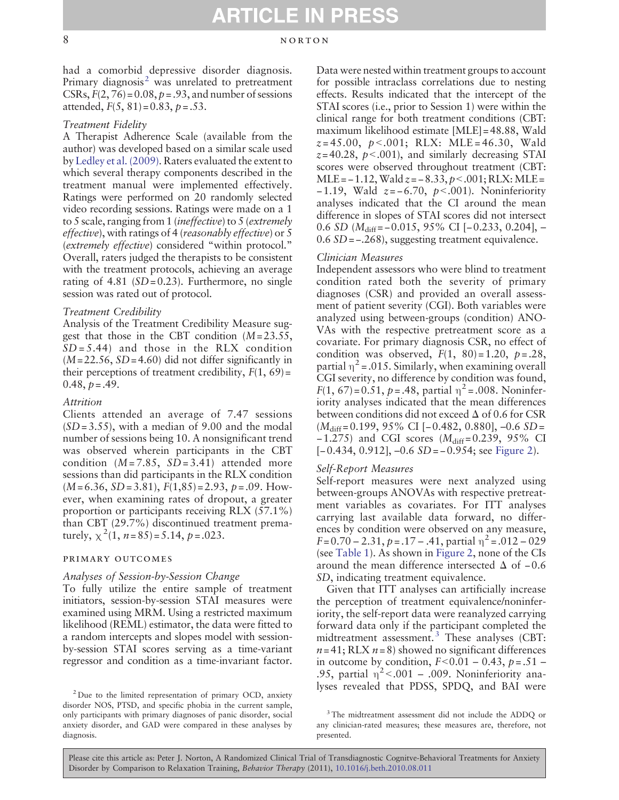## 8 NORTON

had a comorbid depressive disorder diagnosis. Primary diagnosis $<sup>2</sup>$  was unrelated to pretreatment</sup> CSRs,  $F(2, 76) = 0.08$ ,  $p = .93$ , and number of sessions attended,  $F(5, 81) = 0.83$ ,  $p = .53$ .

### Treatment Fidelity

A Therapist Adherence Scale (available from the author) was developed based on a similar scale used by [Ledley et al. \(2009\)](#page-11-0). Raters evaluated the extent to which several therapy components described in the treatment manual were implemented effectively. Ratings were performed on 20 randomly selected video recording sessions. Ratings were made on a 1 to 5 scale, ranging from 1 (ineffective) to 5 (extremely effective), with ratings of 4 (reasonably effective) or 5 (extremely effective) considered "within protocol." Overall, raters judged the therapists to be consistent with the treatment protocols, achieving an average rating of 4.81 ( $SD=0.23$ ). Furthermore, no single session was rated out of protocol.

#### Treatment Credibility

Analysis of the Treatment Credibility Measure suggest that those in the CBT condition  $(M=23.55,$  $SD = 5.44$ ) and those in the RLX condition  $(M=22.56, SD=4.60)$  did not differ significantly in their perceptions of treatment credibility,  $F(1, 69)$  =  $0.48, p=.49.$ 

#### Attrition

Clients attended an average of 7.47 sessions  $(SD=3.55)$ , with a median of 9.00 and the modal number of sessions being 10. A nonsignificant trend was observed wherein participants in the CBT condition  $(M=7.85, SD=3.41)$  attended more sessions than did participants in the RLX condition  $(M= 6.36, SD= 3.81), F(1,85) = 2.93, p = .09$ . However, when examining rates of dropout, a greater proportion or participants receiving RLX (57.1%) than CBT (29.7%) discontinued treatment prematurely,  $\chi^2(1, n=85) = 5.14, p = .023$ .

#### primary outcomes

### Analyses of Session-by-Session Change

To fully utilize the entire sample of treatment initiators, session-by-session STAI measures were examined using MRM. Using a restricted maximum likelihood (REML) estimator, the data were fitted to a random intercepts and slopes model with sessionby-session STAI scores serving as a time-variant regressor and condition as a time-invariant factor. Data were nested within treatment groups to account for possible intraclass correlations due to nesting effects. Results indicated that the intercept of the STAI scores (i.e., prior to Session 1) were within the clinical range for both treatment conditions (CBT: maximum likelihood estimate [MLE] =48.88, Wald  $z = 45.00, p<0.01$ ; RLX: MLE = 46.30, Wald  $z= 40.28$ ,  $p<.001$ ), and similarly decreasing STAI scores were observed throughout treatment (CBT:  $MLE = -1.12$ , Wald  $z = -8.33$ ,  $p < .001$ ; RLX: MLE = −1.19, Wald  $z=-6.70$ ,  $p<0.001$ ). Noninferiority analyses indicated that the CI around the mean difference in slopes of STAI scores did not intersect 0.6 SD (M<sub>diff</sub>=−0.015, 95% CI [−0.233, 0.204], – 0.6 SD=−.268), suggesting treatment equivalence.

#### Clinician Measures

Independent assessors who were blind to treatment condition rated both the severity of primary diagnoses (CSR) and provided an overall assessment of patient severity (CGI). Both variables were analyzed using between-groups (condition) ANO-VAs with the respective pretreatment score as a covariate. For primary diagnosis CSR, no effect of condition was observed,  $F(1, 80) = 1.20$ ,  $p = .28$ , partial  $\eta^2$  = .015. Similarly, when examining overall CGI severity, no difference by condition was found,  $F(1, 67) = 0.51, p = .48$ , partial  $\eta^2 = .008$ . Noninferiority analyses indicated that the mean differences between conditions did not exceed  $\Delta$  of 0.6 for CSR ( $M<sub>diff</sub> = 0.199, 95%$  CI [-0.482, 0.880], -0.6 SD =  $-1.275$ ) and CGI scores ( $M_{\text{diff}} = 0.239, 95\%$  CI [−0.434, 0.912], –0.6 SD=−0.954; see [Figure 2](#page-8-0)).

#### Self-Report Measures

Self-report measures were next analyzed using between-groups ANOVAs with respective pretreatment variables as covariates. For ITT analyses carrying last available data forward, no differences by condition were observed on any measure,  $F = 0.70 - 2.31, p = 0.17 - 0.41,$  partial  $\eta^2 = 0.012 - 0.029$ (see [Table 1\)](#page-8-0). As shown in [Figure 2,](#page-8-0) none of the CIs around the mean difference intersected  $\Delta$  of -0.6 SD, indicating treatment equivalence.

Given that ITT analyses can artificially increase the perception of treatment equivalence/noninferiority, the self-report data were reanalyzed carrying forward data only if the participant completed the midtreatment assessment.<sup>3</sup> These analyses (CBT:  $n= 41$ ; RLX  $n= 8$ ) showed no significant differences in outcome by condition,  $F<0.01 - 0.43$ ,  $p=.51 -$ .95, partial  $\eta^2$  <.001 – .009. Noninferiority ana-<sup>2</sup> Due to the limited representation of primary OCD, anxiety lyses revealed that PDSS, SPDQ, and BAI were

disorder NOS, PTSD, and specific phobia in the current sample, only participants with primary diagnoses of panic disorder, social anxiety disorder, and GAD were compared in these analyses by diagnosis.

<sup>3</sup> The midtreatment assessment did not include the ADDQ or any clinician-rated measures; these measures are, therefore, not presented.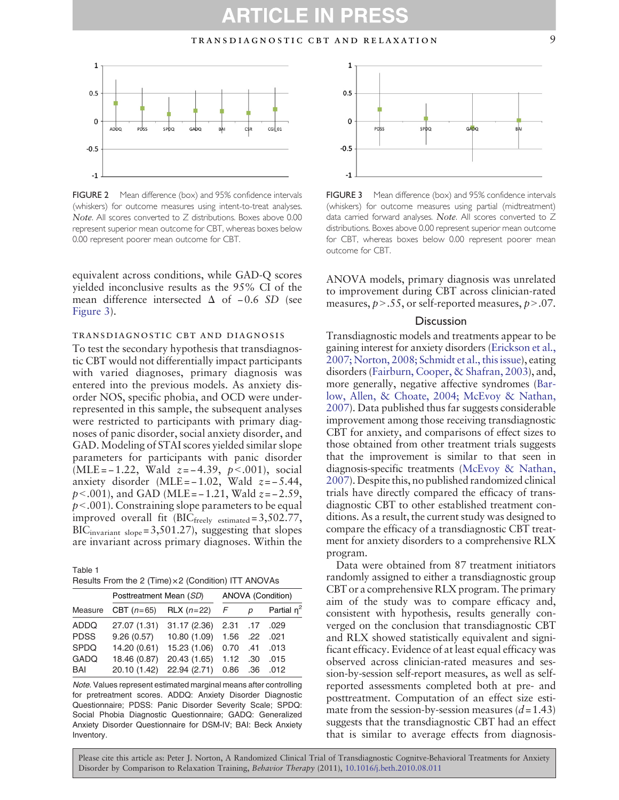# **ARTICLE IN PR**

<span id="page-8-0"></span>

FIGURE 2 Mean difference (box) and 95% confidence intervals (whiskers) for outcome measures using intent-to-treat analyses. Note. All scores converted to Z distributions. Boxes above 0.00 represent superior mean outcome for CBT, whereas boxes below 0.00 represent poorer mean outcome for CBT.

equivalent across conditions, while GAD-Q scores yielded inconclusive results as the 95% CI of the mean difference intersected  $\Delta$  of -0.6 SD (see Figure 3).

### transdiagnostic cbt and diagnosis

To test the secondary hypothesis that transdiagnostic CBT would not differentially impact participants with varied diagnoses, primary diagnosis was entered into the previous models. As anxiety disorder NOS, specific phobia, and OCD were underrepresented in this sample, the subsequent analyses were restricted to participants with primary diagnoses of panic disorder, social anxiety disorder, and GAD. Modeling of STAI scores yielded similar slope parameters for participants with panic disorder (MLE =  $-1.22$ , Wald  $z = -4.39$ ,  $p < .001$ ), social anxiety disorder (MLE =  $-1.02$ , Wald  $z = -5.44$ ,  $p<.001$ ), and GAD (MLE = -1.21, Wald  $z=-2.59$ ,  $p<.001$ ). Constraining slope parameters to be equal improved overall fit  $(BIC_{\text{freely estimated}} = 3,502.77,$  $BIC_{\text{invariant slope}} = 3,501.27$ , suggesting that slopes are invariant across primary diagnoses. Within the

Table 1 Results From the 2 (Time) × 2 (Condition) ITT ANOVAs

|             | Posttreatment Mean (SD) |                  | ANOVA (Condition) |     |               |
|-------------|-------------------------|------------------|-------------------|-----|---------------|
| Measure     | CBT $(n=65)$            | $RLX$ ( $n=22$ ) | F                 | D   | Partial $n^2$ |
| <b>ADDQ</b> | 27.07 (1.31)            | 31.17 (2.36)     | 2.31 .17          |     | .029          |
| <b>PDSS</b> | 9.26(0.57)              | 10.80 (1.09)     | 1.56              | .22 | .021          |
| <b>SPDQ</b> | 14.20 (0.61)            | 15.23 (1.06)     | 0.70              | .41 | .013          |
| <b>GADQ</b> | 18.46 (0.87)            | 20.43 (1.65)     | 1.12              | .30 | .015          |
| <b>BAI</b>  | 20.10 (1.42)            | 22.94 (2.71)     | 0.86              | .36 | .012          |
|             |                         |                  |                   |     |               |

Note. Values represent estimated marginal means after controlling for pretreatment scores. ADDQ: Anxiety Disorder Diagnostic Questionnaire; PDSS: Panic Disorder Severity Scale; SPDQ: Social Phobia Diagnostic Questionnaire; GADQ: Generalized Anxiety Disorder Questionnaire for DSM-IV; BAI: Beck Anxiety Inventory.



FIGURE 3 Mean difference (box) and 95% confidence intervals (whiskers) for outcome measures using partial (midtreatment) data carried forward analyses. Note. All scores converted to Z distributions. Boxes above 0.00 represent superior mean outcome for CBT, whereas boxes below 0.00 represent poorer mean outcome for CBT.

ANOVA models, primary diagnosis was unrelated to improvement during CBT across clinician-rated measures,  $p > .55$ , or self-reported measures,  $p > .07$ .

### **Discussion**

Transdiagnostic models and treatments appear to be gaining interest for anxiety disorders [\(Erickson et al.,](#page-10-0) [2007; Norton, 2008; Schmidt et al., this issue](#page-10-0)), eating disorders [\(Fairburn, Cooper, & Shafran, 2003](#page-10-0)), and, more generally, negative affective syndromes [\(Bar](#page-10-0)[low, Allen, & Choate, 2004; McEvoy & Nathan,](#page-10-0) [2007](#page-10-0)). Data published thus far suggests considerable improvement among those receiving transdiagnostic CBT for anxiety, and comparisons of effect sizes to those obtained from other treatment trials suggests that the improvement is similar to that seen in diagnosis-specific treatments [\(McEvoy & Nathan,](#page-11-0) [2007](#page-11-0)). Despite this, no published randomized clinical trials have directly compared the efficacy of transdiagnostic CBT to other established treatment conditions. As a result, the current study was designed to compare the efficacy of a transdiagnostic CBT treatment for anxiety disorders to a comprehensive RLX program.

Data were obtained from 87 treatment initiators randomly assigned to either a transdiagnostic group CBT or a comprehensive RLX program. The primary aim of the study was to compare efficacy and, consistent with hypothesis, results generally converged on the conclusion that transdiagnostic CBT and RLX showed statistically equivalent and significant efficacy. Evidence of at least equal efficacy was observed across clinician-rated measures and session-by-session self-report measures, as well as selfreported assessments completed both at pre- and posttreatment. Computation of an effect size estimate from the session-by-session measures  $(d=1.43)$ suggests that the transdiagnostic CBT had an effect that is similar to average effects from diagnosis-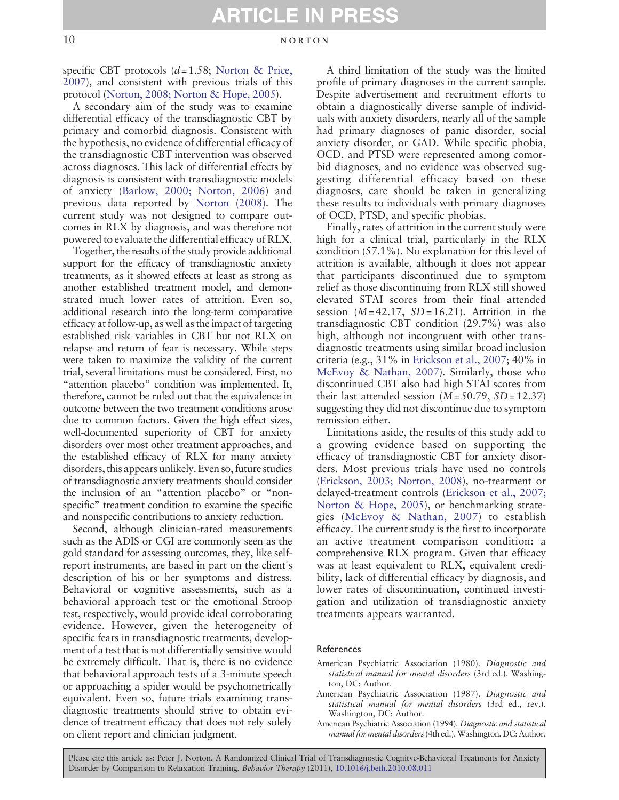## <span id="page-9-0"></span>10 NORTON

specific CBT protocols  $(d=1.58;$  [Norton & Price,](#page-11-0) [2007\)](#page-11-0), and consistent with previous trials of this protocol [\(Norton, 2008; Norton & Hope, 2005\)](#page-11-0).

A secondary aim of the study was to examine differential efficacy of the transdiagnostic CBT by primary and comorbid diagnosis. Consistent with the hypothesis, no evidence of differential efficacy of the transdiagnostic CBT intervention was observed across diagnoses. This lack of differential effects by diagnosis is consistent with transdiagnostic models of anxiety ([Barlow, 2000; Norton, 2006](#page-10-0)) and previous data reported by [Norton \(2008\).](#page-11-0) The current study was not designed to compare outcomes in RLX by diagnosis, and was therefore not powered to evaluate the differential efficacy of RLX.

Together, the results of the study provide additional support for the efficacy of transdiagnostic anxiety treatments, as it showed effects at least as strong as another established treatment model, and demonstrated much lower rates of attrition. Even so, additional research into the long-term comparative efficacy at follow-up, as well as the impact of targeting established risk variables in CBT but not RLX on relapse and return of fear is necessary. While steps were taken to maximize the validity of the current trial, several limitations must be considered. First, no "attention placebo" condition was implemented. It, therefore, cannot be ruled out that the equivalence in outcome between the two treatment conditions arose due to common factors. Given the high effect sizes, well-documented superiority of CBT for anxiety disorders over most other treatment approaches, and the established efficacy of RLX for many anxiety disorders, this appears unlikely. Even so, future studies of transdiagnostic anxiety treatments should consider the inclusion of an "attention placebo" or "nonspecific" treatment condition to examine the specific and nonspecific contributions to anxiety reduction.

Second, although clinician-rated measurements such as the ADIS or CGI are commonly seen as the gold standard for assessing outcomes, they, like selfreport instruments, are based in part on the client's description of his or her symptoms and distress. Behavioral or cognitive assessments, such as a behavioral approach test or the emotional Stroop test, respectively, would provide ideal corroborating evidence. However, given the heterogeneity of specific fears in transdiagnostic treatments, development of a test that is not differentially sensitive would be extremely difficult. That is, there is no evidence that behavioral approach tests of a 3-minute speech or approaching a spider would be psychometrically equivalent. Even so, future trials examining transdiagnostic treatments should strive to obtain evidence of treatment efficacy that does not rely solely on client report and clinician judgment.

A third limitation of the study was the limited profile of primary diagnoses in the current sample. Despite advertisement and recruitment efforts to obtain a diagnostically diverse sample of individuals with anxiety disorders, nearly all of the sample had primary diagnoses of panic disorder, social anxiety disorder, or GAD. While specific phobia, OCD, and PTSD were represented among comorbid diagnoses, and no evidence was observed suggesting differential efficacy based on these diagnoses, care should be taken in generalizing these results to individuals with primary diagnoses of OCD, PTSD, and specific phobias.

Finally, rates of attrition in the current study were high for a clinical trial, particularly in the RLX condition (57.1%). No explanation for this level of attrition is available, although it does not appear that participants discontinued due to symptom relief as those discontinuing from RLX still showed elevated STAI scores from their final attended session  $(M= 42.17, SD= 16.21)$ . Attrition in the transdiagnostic CBT condition (29.7%) was also high, although not incongruent with other transdiagnostic treatments using similar broad inclusion criteria (e.g., 31% in [Erickson et al., 2007](#page-10-0); 40% in [McEvoy & Nathan, 2007](#page-11-0)). Similarly, those who discontinued CBT also had high STAI scores from their last attended session  $(M = 50.79, SD = 12.37)$ suggesting they did not discontinue due to symptom remission either.

Limitations aside, the results of this study add to a growing evidence based on supporting the efficacy of transdiagnostic CBT for anxiety disorders. Most previous trials have used no controls ([Erickson, 2003; Norton, 2008](#page-10-0)), no-treatment or delayed-treatment controls [\(Erickson et al., 2007;](#page-10-0) [Norton & Hope, 2005\)](#page-10-0), or benchmarking strategies ([McEvoy & Nathan, 2007](#page-11-0)) to establish efficacy. The current study is the first to incorporate an active treatment comparison condition: a comprehensive RLX program. Given that efficacy was at least equivalent to RLX, equivalent credibility, lack of differential efficacy by diagnosis, and lower rates of discontinuation, continued investigation and utilization of transdiagnostic anxiety treatments appears warranted.

#### **References**

- American Psychiatric Association (1980). Diagnostic and statistical manual for mental disorders (3rd ed.). Washington, DC: Author.
- American Psychiatric Association (1987). Diagnostic and statistical manual for mental disorders (3rd ed., rev.). Washington, DC: Author.

American Psychiatric Association (1994). Diagnostic and statistical manual for mental disorders (4th ed.). Washington, DC: Author.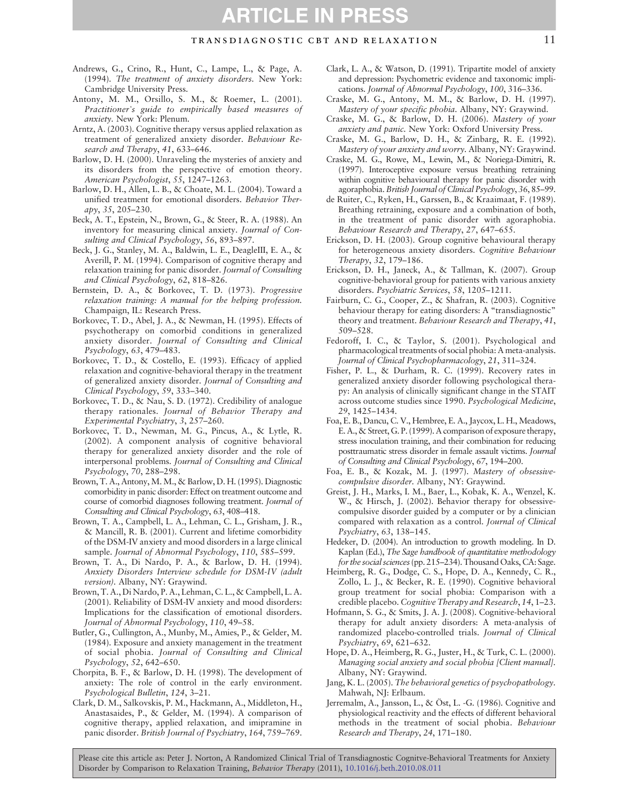#### transdiagnostic cbt and relaxation 11

- <span id="page-10-0"></span>Andrews, G., Crino, R., Hunt, C., Lampe, L., & Page, A. (1994). The treatment of anxiety disorders. New York: Cambridge University Press.
- Antony, M. M., Orsillo, S. M., & Roemer, L. (2001). Practitioner's guide to empirically based measures of anxiety. New York: Plenum.
- Arntz, A. (2003). Cognitive therapy versus applied relaxation as treatment of generalized anxiety disorder. Behaviour Research and Therapy, 41, 633–646.
- Barlow, D. H. (2000). Unraveling the mysteries of anxiety and its disorders from the perspective of emotion theory. American Psychologist, 55, 1247–1263.
- Barlow, D. H., Allen, L. B., & Choate, M. L. (2004). Toward a unified treatment for emotional disorders. Behavior Therapy, 35, 205–230.
- Beck, A. T., Epstein, N., Brown, G., & Steer, R. A. (1988). An inventory for measuring clinical anxiety. Journal of Consulting and Clinical Psychology, 56, 893–897.
- Beck, J. G., Stanley, M. A., Baldwin, L. E., DeagleIII, E. A., & Averill, P. M. (1994). Comparison of cognitive therapy and relaxation training for panic disorder. Journal of Consulting and Clinical Psychology, 62, 818–826.
- Bernstein, D. A., & Borkovec, T. D. (1973). Progressive relaxation training: A manual for the helping profession. Champaign, IL: Research Press.
- Borkovec, T. D., Abel, J. A., & Newman, H. (1995). Effects of psychotherapy on comorbid conditions in generalized anxiety disorder. Journal of Consulting and Clinical Psychology, 63, 479–483.
- Borkovec, T. D., & Costello, E. (1993). Efficacy of applied relaxation and cognitive-behavioral therapy in the treatment of generalized anxiety disorder. Journal of Consulting and Clinical Psychology, 59, 333–340.
- Borkovec, T. D., & Nau, S. D. (1972). Credibility of analogue therapy rationales. Journal of Behavior Therapy and Experimental Psychiatry, 3, 257–260.
- Borkovec, T. D., Newman, M. G., Pincus, A., & Lytle, R. (2002). A component analysis of cognitive behavioral therapy for generalized anxiety disorder and the role of interpersonal problems. Journal of Consulting and Clinical Psychology, 70, 288–298.
- Brown, T. A., Antony, M. M., & Barlow, D. H. (1995). Diagnostic comorbidity in panic disorder: Effect on treatment outcome and course of comorbid diagnoses following treatment. Journal of Consulting and Clinical Psychology, 63, 408–418.
- Brown, T. A., Campbell, L. A., Lehman, C. L., Grisham, J. R., & Mancill, R. B. (2001). Current and lifetime comorbidity of the DSM-IV anxiety and mood disorders in a large clinical sample. Journal of Abnormal Psychology, 110, 585-599.
- Brown, T. A., Di Nardo, P. A., & Barlow, D. H. (1994). Anxiety Disorders Interview schedule for DSM-IV (adult version). Albany, NY: Graywind.
- Brown, T. A., Di Nardo, P. A., Lehman, C. L., & Campbell, L. A. (2001). Reliability of DSM-IV anxiety and mood disorders: Implications for the classification of emotional disorders. Journal of Abnormal Psychology, 110, 49–58.
- Butler, G., Cullington, A., Munby, M., Amies, P., & Gelder, M. (1984). Exposure and anxiety management in the treatment of social phobia. Journal of Consulting and Clinical Psychology, 52, 642–650.
- Chorpita, B. F., & Barlow, D. H. (1998). The development of anxiety: The role of control in the early environment. Psychological Bulletin, 124, 3–21.
- Clark, D. M., Salkovskis, P. M., Hackmann, A., Middleton, H., Anastasaides, P., & Gelder, M. (1994). A comparison of cognitive therapy, applied relaxation, and imipramine in panic disorder. British Journal of Psychiatry, 164, 759–769.
- Clark, L. A., & Watson, D. (1991). Tripartite model of anxiety and depression: Psychometric evidence and taxonomic implications. Journal of Abnormal Psychology, 100, 316–336.
- Craske, M. G., Antony, M. M., & Barlow, D. H. (1997). Mastery of your specific phobia. Albany, NY: Graywind.
- Craske, M. G., & Barlow, D. H. (2006). Mastery of your anxiety and panic. New York: Oxford University Press.
- Craske, M. G., Barlow, D. H., & Zinbarg, R. E. (1992). Mastery of your anxiety and worry. Albany, NY: Graywind.
- Craske, M. G., Rowe, M., Lewin, M., & Noriega-Dimitri, R. (1997). Interoceptive exposure versus breathing retraining within cognitive behavioural therapy for panic disorder with agoraphobia. British Journal of Clinical Psychology, 36, 85-99.
- de Ruiter, C., Ryken, H., Garssen, B., & Kraaimaat, F. (1989). Breathing retraining, exposure and a combination of both, in the treatment of panic disorder with agoraphobia. Behaviour Research and Therapy, 27, 647–655.
- Erickson, D. H. (2003). Group cognitive behavioural therapy for heterogeneous anxiety disorders. Cognitive Behaviour Therapy, 32, 179–186.
- Erickson, D. H., Janeck, A., & Tallman, K. (2007). Group cognitive-behavioral group for patients with various anxiety disorders. Psychiatric Services, 58, 1205–1211.
- Fairburn, C. G., Cooper, Z., & Shafran, R. (2003). Cognitive behaviour therapy for eating disorders: A "transdiagnostic" theory and treatment. Behaviour Research and Therapy, 41, 509–528.
- Fedoroff, I. C., & Taylor, S. (2001). Psychological and pharmacological treatments of social phobia: A meta-analysis. Journal of Clinical Psychopharmacology, 21, 311–324.
- Fisher, P. L., & Durham, R. C. (1999). Recovery rates in generalized anxiety disorder following psychological therapy: An analysis of clinically significant change in the STAIT across outcome studies since 1990. Psychological Medicine, 29, 1425–1434.
- Foa, E. B., Dancu, C. V., Hembree, E. A., Jaycox, L. H., Meadows, E. A.,& Street, G. P. (1999). A comparison of exposure therapy, stress inoculation training, and their combination for reducing posttraumatic stress disorder in female assault victims. Journal of Consulting and Clinical Psychology, 67, 194–200.
- Foa, E. B., & Kozak, M. J. (1997). Mastery of obsessivecompulsive disorder. Albany, NY: Graywind.
- Greist, J. H., Marks, I. M., Baer, L., Kobak, K. A., Wenzel, K. W., & Hirsch, J. (2002). Behavior therapy for obsessivecompulsive disorder guided by a computer or by a clinician compared with relaxation as a control. Journal of Clinical Psychiatry, 63, 138–145.
- Hedeker, D. (2004). An introduction to growth modeling. In D. Kaplan (Ed.), The Sage handbook of quantitative methodology for the social sciences (pp. 215–234). Thousand Oaks, CA: Sage.
- Heimberg, R. G., Dodge, C. S., Hope, D. A., Kennedy, C. R., Zollo, L. J., & Becker, R. E. (1990). Cognitive behavioral group treatment for social phobia: Comparison with a credible placebo. Cognitive Therapy and Research, 14, 1–23.
- Hofmann, S. G., & Smits, J. A. J. (2008). Cognitive-behavioral therapy for adult anxiety disorders: A meta-analysis of randomized placebo-controlled trials. Journal of Clinical Psychiatry, 69, 621–632.
- Hope, D. A., Heimberg, R. G., Juster, H., & Turk, C. L. (2000). Managing social anxiety and social phobia [Client manual]. Albany, NY: Graywind.
- Jang, K. L. (2005). The behavioral genetics of psychopathology. Mahwah, NJ: Erlbaum.
- Jerremalm, A., Jansson, L., & Öst, L. -G. (1986). Cognitive and physiological reactivity and the effects of different behavioral methods in the treatment of social phobia. Behaviour Research and Therapy, 24, 171–180.